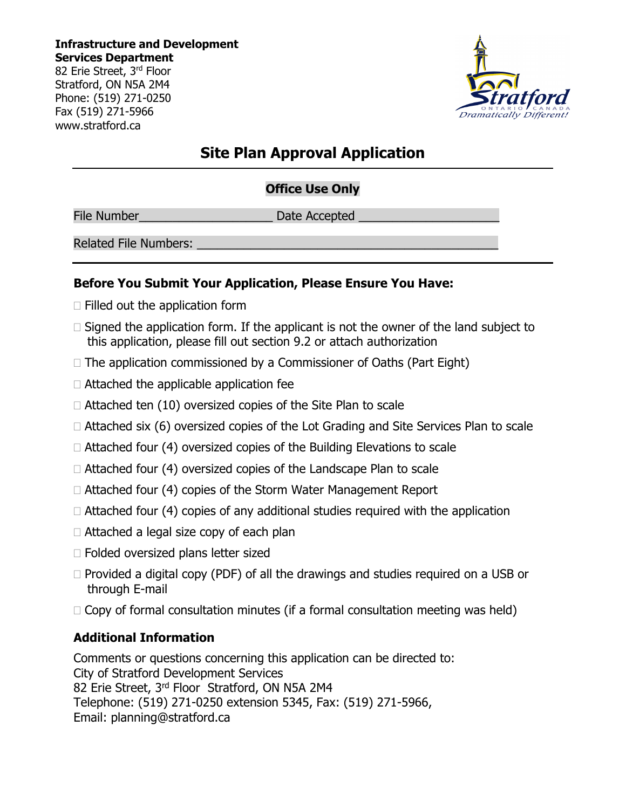Stratford, ON N5A 2M4 Phone: (519) 271-0250 Fax (519) 271-5966 www.stratford.ca

# **Site Plan Approval Application**

## **Office Use Only**

File Number\_\_\_\_\_\_\_\_\_\_\_\_\_\_\_\_\_\_\_\_ Date Accepted \_\_\_\_\_\_\_\_\_\_\_\_\_\_\_\_\_\_\_\_\_

Related File Numbers:

### **Before You Submit Your Application, Please Ensure You Have:**

- $\Box$  Filled out the application form
- $\Box$  Signed the application form. If the applicant is not the owner of the land subject to this application, please fill out section 9.2 or attach authorization
- $\Box$  The application commissioned by a Commissioner of Oaths (Part Eight)
- $\Box$  Attached the applicable application fee
- $\Box$  Attached ten (10) oversized copies of the Site Plan to scale
- $\Box$  Attached six (6) oversized copies of the Lot Grading and Site Services Plan to scale
- $\Box$  Attached four (4) oversized copies of the Building Elevations to scale
- $\Box$  Attached four (4) oversized copies of the Landscape Plan to scale
- $\Box$  Attached four (4) copies of the Storm Water Management Report
- $\Box$  Attached four (4) copies of any additional studies required with the application
- □ Attached a legal size copy of each plan
- □ Folded oversized plans letter sized
- $\Box$  Provided a digital copy (PDF) of all the drawings and studies required on a USB or through E-mail
- $\Box$  Copy of formal consultation minutes (if a formal consultation meeting was held)

## **Additional Information**

Comments or questions concerning this application can be directed to: City of Stratford Development Services 82 Erie Street, 3rd Floor Stratford, ON N5A 2M4 Telephone: (519) 271-0250 extension 5345, Fax: (519) 271-5966, Email: planning@stratford.ca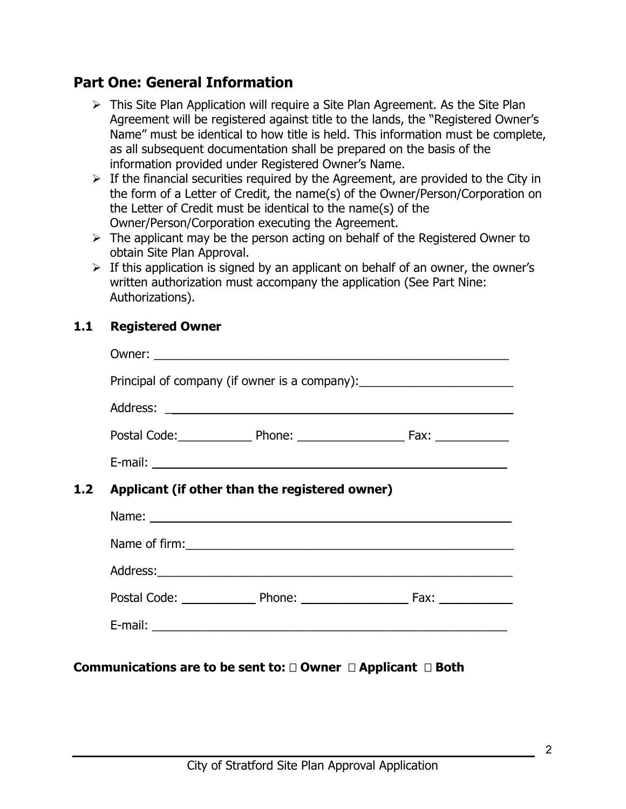# **Part One: General Information**

- $\triangleright$  This Site Plan Application will require a Site Plan Agreement. As the Site Plan Agreement will be registered against title to the lands, the "Registered Owner's Name" must be identical to how title is held. This information must be complete, as all subsequent documentation shall be prepared on the basis of the information provided under Registered Owner's Name.
- $\triangleright$  If the financial securities required by the Agreement, are provided to the City in the form of a Letter of Credit, the name(s) of the Owner/Person/Corporation on the Letter of Credit must be identical to the name(s) of the Owner/Person/Corporation executing the Agreement.
- $\triangleright$  The applicant may be the person acting on behalf of the Registered Owner to obtain Site Plan Approval.
- $\triangleright$  If this application is signed by an applicant on behalf of an owner, the owner's written authorization must accompany the application (See Part Nine: Authorizations).

### **1.1 Registered Owner**

|     | Principal of company (if owner is a company):___________________________________ |  |
|-----|----------------------------------------------------------------------------------|--|
|     |                                                                                  |  |
|     | Postal Code: Phone: 2000 Phone: 2000 Postal Code:                                |  |
|     |                                                                                  |  |
| 1.2 | Applicant (if other than the registered owner)                                   |  |
|     |                                                                                  |  |
|     |                                                                                  |  |
|     |                                                                                  |  |
|     |                                                                                  |  |
|     |                                                                                  |  |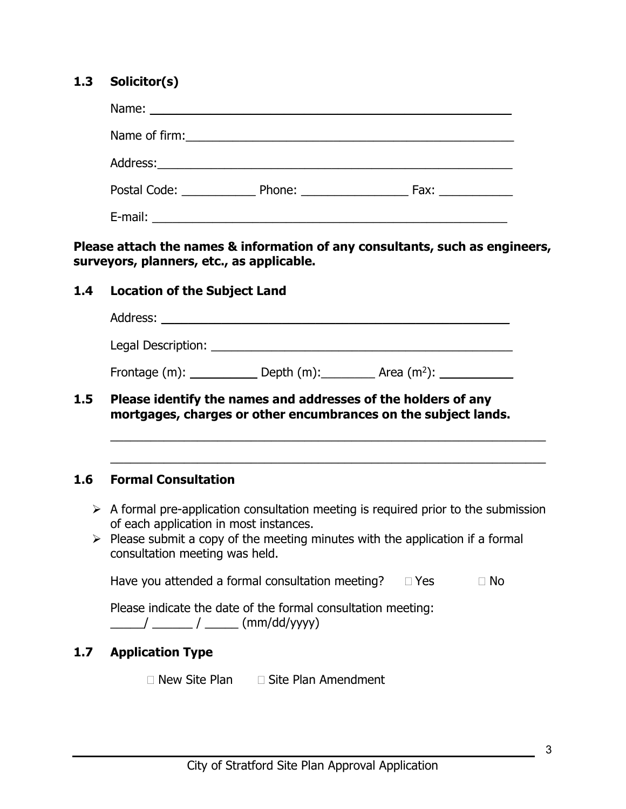#### **1.3 Solicitor(s)**

| Postal Code: The Contract of the Code: | Phone: $\frac{1}{2}$ | Fax: and the state of the state of the state of the state of the state of the state of the state of the state o |
|----------------------------------------|----------------------|-----------------------------------------------------------------------------------------------------------------|
| E-mail:                                |                      |                                                                                                                 |

**Please attach the names & information of any consultants, such as engineers, surveyors, planners, etc., as applicable.** 

#### **1.4 Location of the Subject Land**

| Address:           |               |               |  |
|--------------------|---------------|---------------|--|
| Legal Description: |               |               |  |
| Frontage (m):      | Depth $(m)$ : | Area $(m2)$ : |  |

**1.5 Please identify the names and addresses of the holders of any mortgages, charges or other encumbrances on the subject lands.**

#### **1.6 Formal Consultation**

 $\triangleright$  A formal pre-application consultation meeting is required prior to the submission of each application in most instances.

\_\_\_\_\_\_\_\_\_\_\_\_\_\_\_\_\_\_\_\_\_\_\_\_\_\_\_\_\_\_\_\_\_\_\_\_\_\_\_\_\_\_\_\_\_\_\_\_\_\_\_\_\_\_\_\_\_\_\_\_\_\_\_\_\_

\_\_\_\_\_\_\_\_\_\_\_\_\_\_\_\_\_\_\_\_\_\_\_\_\_\_\_\_\_\_\_\_\_\_\_\_\_\_\_\_\_\_\_\_\_\_\_\_\_\_\_\_\_\_\_\_\_\_\_\_\_\_\_\_\_

 $\triangleright$  Please submit a copy of the meeting minutes with the application if a formal consultation meeting was held.

Have you attended a formal consultation meeting?  $\Box$  Yes  $\Box$  No

| Please indicate the date of the formal consultation meeting: |                         |  |
|--------------------------------------------------------------|-------------------------|--|
|                                                              | $_{\rm -}$ (mm/dd/yyyy) |  |

#### **1.7 Application Type**

 $\Box$  New Site Plan  $\Box$  Site Plan Amendment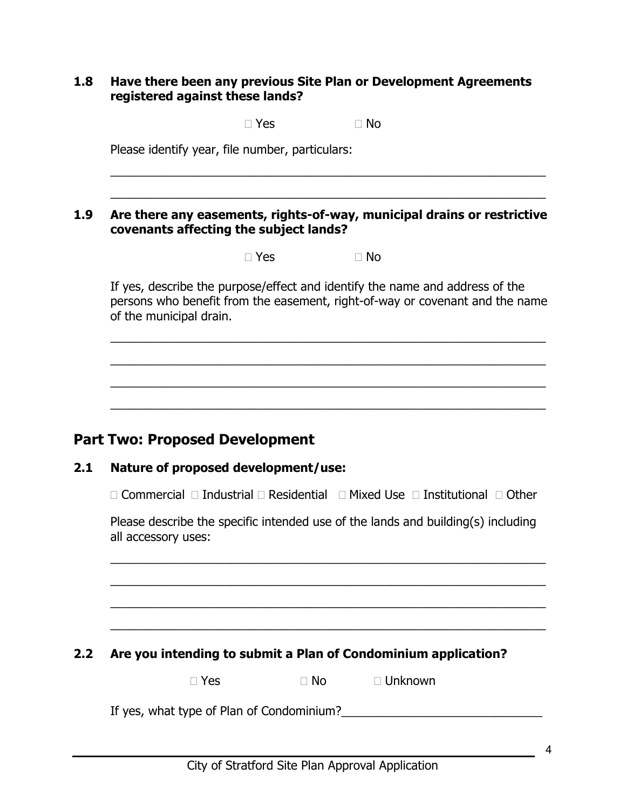#### **1.8 Have there been any previous Site Plan or Development Agreements registered against these lands?**

 $\Box$  Yes  $\Box$  No

\_\_\_\_\_\_\_\_\_\_\_\_\_\_\_\_\_\_\_\_\_\_\_\_\_\_\_\_\_\_\_\_\_\_\_\_\_\_\_\_\_\_\_\_\_\_\_\_\_\_\_\_\_\_\_\_\_\_\_\_\_\_\_\_\_

\_\_\_\_\_\_\_\_\_\_\_\_\_\_\_\_\_\_\_\_\_\_\_\_\_\_\_\_\_\_\_\_\_\_\_\_\_\_\_\_\_\_\_\_\_\_\_\_\_\_\_\_\_\_\_\_\_\_\_\_\_\_\_\_\_

Please identify year, file number, particulars:

#### **1.9 Are there any easements, rights-of-way, municipal drains or restrictive covenants affecting the subject lands?**

 $\Box$  Yes  $\Box$  No

If yes, describe the purpose/effect and identify the name and address of the persons who benefit from the easement, right-of-way or covenant and the name of the municipal drain.

\_\_\_\_\_\_\_\_\_\_\_\_\_\_\_\_\_\_\_\_\_\_\_\_\_\_\_\_\_\_\_\_\_\_\_\_\_\_\_\_\_\_\_\_\_\_\_\_\_\_\_\_\_\_\_\_\_\_\_\_\_\_\_\_\_

\_\_\_\_\_\_\_\_\_\_\_\_\_\_\_\_\_\_\_\_\_\_\_\_\_\_\_\_\_\_\_\_\_\_\_\_\_\_\_\_\_\_\_\_\_\_\_\_\_\_\_\_\_\_\_\_\_\_\_\_\_\_\_\_\_

\_\_\_\_\_\_\_\_\_\_\_\_\_\_\_\_\_\_\_\_\_\_\_\_\_\_\_\_\_\_\_\_\_\_\_\_\_\_\_\_\_\_\_\_\_\_\_\_\_\_\_\_\_\_\_\_\_\_\_\_\_\_\_\_\_

\_\_\_\_\_\_\_\_\_\_\_\_\_\_\_\_\_\_\_\_\_\_\_\_\_\_\_\_\_\_\_\_\_\_\_\_\_\_\_\_\_\_\_\_\_\_\_\_\_\_\_\_\_\_\_\_\_\_\_\_\_\_\_\_\_

## **Part Two: Proposed Development**

#### **2.1 Nature of proposed development/use:**

 $\Box$  Commercial  $\Box$  Industrial  $\Box$  Residential  $\Box$  Mixed Use  $\Box$  Institutional  $\Box$  Other

Please describe the specific intended use of the lands and building(s) including all accessory uses:

\_\_\_\_\_\_\_\_\_\_\_\_\_\_\_\_\_\_\_\_\_\_\_\_\_\_\_\_\_\_\_\_\_\_\_\_\_\_\_\_\_\_\_\_\_\_\_\_\_\_\_\_\_\_\_\_\_\_\_\_\_\_\_\_\_

\_\_\_\_\_\_\_\_\_\_\_\_\_\_\_\_\_\_\_\_\_\_\_\_\_\_\_\_\_\_\_\_\_\_\_\_\_\_\_\_\_\_\_\_\_\_\_\_\_\_\_\_\_\_\_\_\_\_\_\_\_\_\_\_\_

\_\_\_\_\_\_\_\_\_\_\_\_\_\_\_\_\_\_\_\_\_\_\_\_\_\_\_\_\_\_\_\_\_\_\_\_\_\_\_\_\_\_\_\_\_\_\_\_\_\_\_\_\_\_\_\_\_\_\_\_\_\_\_\_\_

\_\_\_\_\_\_\_\_\_\_\_\_\_\_\_\_\_\_\_\_\_\_\_\_\_\_\_\_\_\_\_\_\_\_\_\_\_\_\_\_\_\_\_\_\_\_\_\_\_\_\_\_\_\_\_\_\_\_\_\_\_\_\_\_\_

**2.2 Are you intending to submit a Plan of Condominium application?** 

 $\Box$  Yes  $\Box$  No  $\Box$  Unknown

If yes, what type of Plan of Condominium?\_\_\_\_\_\_\_\_\_\_\_\_\_\_\_\_\_\_\_\_\_\_\_\_\_\_\_\_\_\_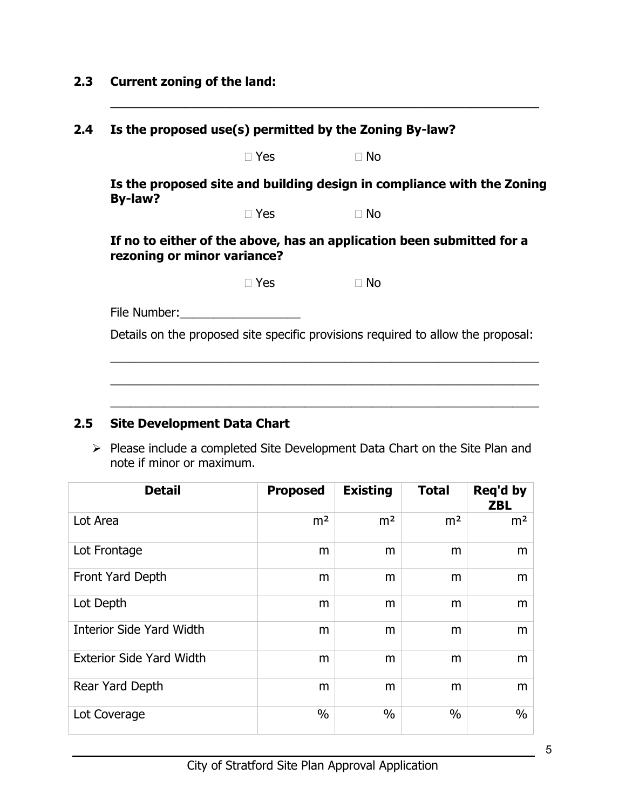## **2.3 Current zoning of the land:**

|         |                                                                                                                                                                                                                                | Is the proposed use(s) permitted by the Zoning By-law?                           |  |
|---------|--------------------------------------------------------------------------------------------------------------------------------------------------------------------------------------------------------------------------------|----------------------------------------------------------------------------------|--|
|         | $\Box$ Yes                                                                                                                                                                                                                     | $\Box$ No                                                                        |  |
|         |                                                                                                                                                                                                                                | Is the proposed site and building design in compliance with the Zoning           |  |
| By-law? | $\Box$ Yes                                                                                                                                                                                                                     | $\Box$ No                                                                        |  |
|         | rezoning or minor variance?                                                                                                                                                                                                    | If no to either of the above, has an application been submitted for a            |  |
|         | $\Box$ Yes                                                                                                                                                                                                                     | $\Box$ No                                                                        |  |
|         | File Number: The Number of the Second Second Second Second Second Second Second Second Second Second Second Second Second Second Second Second Second Second Second Second Second Second Second Second Second Second Second Se |                                                                                  |  |
|         |                                                                                                                                                                                                                                | Details on the proposed site specific provisions required to allow the proposal: |  |

\_\_\_\_\_\_\_\_\_\_\_\_\_\_\_\_\_\_\_\_\_\_\_\_\_\_\_\_\_\_\_\_\_\_\_\_\_\_\_\_\_\_\_\_\_\_\_\_\_\_\_\_\_\_\_\_\_\_\_\_\_\_\_\_

## **2.5 Site Development Data Chart**

 $\triangleright$  Please include a completed Site Development Data Chart on the Site Plan and note if minor or maximum.

| <b>Detail</b>                   | <b>Proposed</b> | <b>Existing</b> | <b>Total</b>   | Req'd by<br><b>ZBL</b> |
|---------------------------------|-----------------|-----------------|----------------|------------------------|
| Lot Area                        | m <sup>2</sup>  | m <sup>2</sup>  | m <sup>2</sup> | m <sup>2</sup>         |
| Lot Frontage                    | m               | m               | m              | m                      |
| Front Yard Depth                | m               | m               | m              | m                      |
| Lot Depth                       | m               | m               | m              | m                      |
| <b>Interior Side Yard Width</b> | m               | m               | m              | m                      |
| <b>Exterior Side Yard Width</b> | m               | m               | m              | m                      |
| Rear Yard Depth                 | m               | m               | m              | m                      |
| Lot Coverage                    | $\frac{0}{0}$   | $\%$            | $\frac{0}{0}$  | $\%$                   |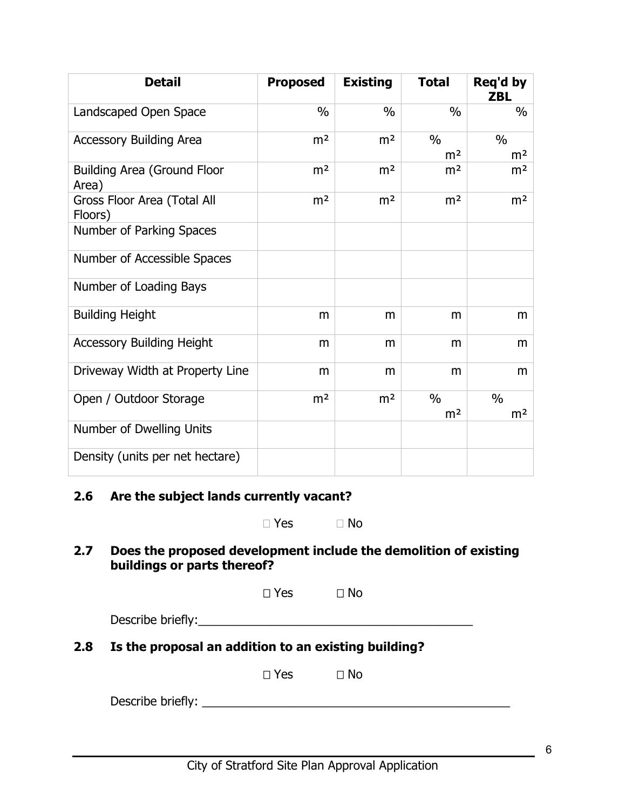| <b>Detail</b>                               | <b>Proposed</b> | <b>Existing</b> | <b>Total</b>                    | Reg'd by<br><b>ZBL</b>          |
|---------------------------------------------|-----------------|-----------------|---------------------------------|---------------------------------|
| Landscaped Open Space                       | $\%$            | $\%$            | $\%$                            | $\%$                            |
| <b>Accessory Building Area</b>              | m <sup>2</sup>  | m <sup>2</sup>  | $\frac{0}{0}$<br>m <sup>2</sup> | $\frac{0}{0}$<br>m <sup>2</sup> |
| <b>Building Area (Ground Floor</b><br>Area) | m <sup>2</sup>  | m <sup>2</sup>  | m <sup>2</sup>                  | m <sup>2</sup>                  |
| Gross Floor Area (Total All<br>Floors)      | m <sup>2</sup>  | m <sup>2</sup>  | m <sup>2</sup>                  | m <sup>2</sup>                  |
| Number of Parking Spaces                    |                 |                 |                                 |                                 |
| Number of Accessible Spaces                 |                 |                 |                                 |                                 |
| Number of Loading Bays                      |                 |                 |                                 |                                 |
| <b>Building Height</b>                      | m               | m               | m                               | m                               |
| <b>Accessory Building Height</b>            | m               | m               | m                               | m                               |
| Driveway Width at Property Line             | m               | m               | m                               | m                               |
| Open / Outdoor Storage                      | m <sup>2</sup>  | m <sup>2</sup>  | $\frac{0}{0}$<br>m <sup>2</sup> | $\frac{0}{0}$<br>m <sup>2</sup> |
| Number of Dwelling Units                    |                 |                 |                                 |                                 |
| Density (units per net hectare)             |                 |                 |                                 |                                 |

### **2.6 Are the subject lands currently vacant?**

| $\Box$ Yes | $\Box$ No |
|------------|-----------|
|------------|-----------|

**2.7 Does the proposed development include the demolition of existing buildings or parts thereof?**

| $\square$ Yes | $\square$ No |
|---------------|--------------|
|---------------|--------------|

| Describe briefly: |  |  |  |
|-------------------|--|--|--|
|                   |  |  |  |

**2.8 Is the proposal an addition to an existing building?**

 $\Box$  Yes  $\Box$  No

Describe briefly: \_\_\_\_\_\_\_\_\_\_\_\_\_\_\_\_\_\_\_\_\_\_\_\_\_\_\_\_\_\_\_\_\_\_\_\_\_\_\_\_\_\_\_\_\_\_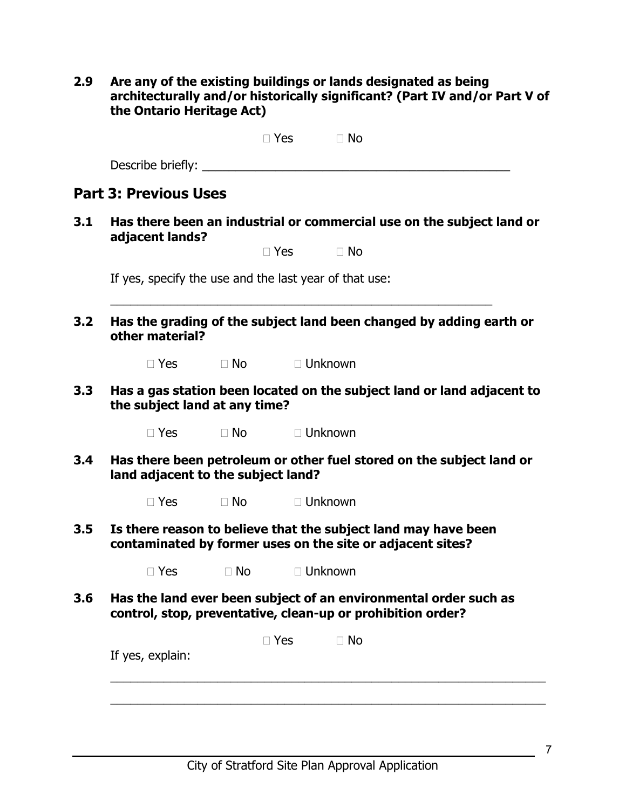**2.9 Are any of the existing buildings or lands designated as being architecturally and/or historically significant? (Part IV and/or Part V of the Ontario Heritage Act)**

|                   | $\Box$ Yes | $\Box$ No |  |
|-------------------|------------|-----------|--|
| Describe briefly: |            |           |  |

## **Part 3: Previous Uses**

**3.1 Has there been an industrial or commercial use on the subject land or adjacent lands?**

If yes, specify the use and the last year of that use:

**3.2 Has the grading of the subject land been changed by adding earth or other material?**

\_\_\_\_\_\_\_\_\_\_\_\_\_\_\_\_\_\_\_\_\_\_\_\_\_\_\_\_\_\_\_\_\_\_\_\_\_\_\_\_\_\_\_\_\_\_\_\_\_\_\_\_\_\_\_\_\_

 $\Box$  Yes  $\Box$  No  $\Box$  Unknown

**3.3 Has a gas station been located on the subject land or land adjacent to the subject land at any time?**

□ Yes □ No □ Unknown

**3.4 Has there been petroleum or other fuel stored on the subject land or land adjacent to the subject land?**

 $\Box$  Yes  $\Box$  No  $\Box$  Unknown

**3.5 Is there reason to believe that the subject land may have been contaminated by former uses on the site or adjacent sites?**

 $\Box$  Yes  $\Box$  No  $\Box$  Unknown

**3.6 Has the land ever been subject of an environmental order such as control, stop, preventative, clean-up or prohibition order?**

| If yes, explain: | $\Box$ Yes | $\Box$ No |  |
|------------------|------------|-----------|--|
|                  |            |           |  |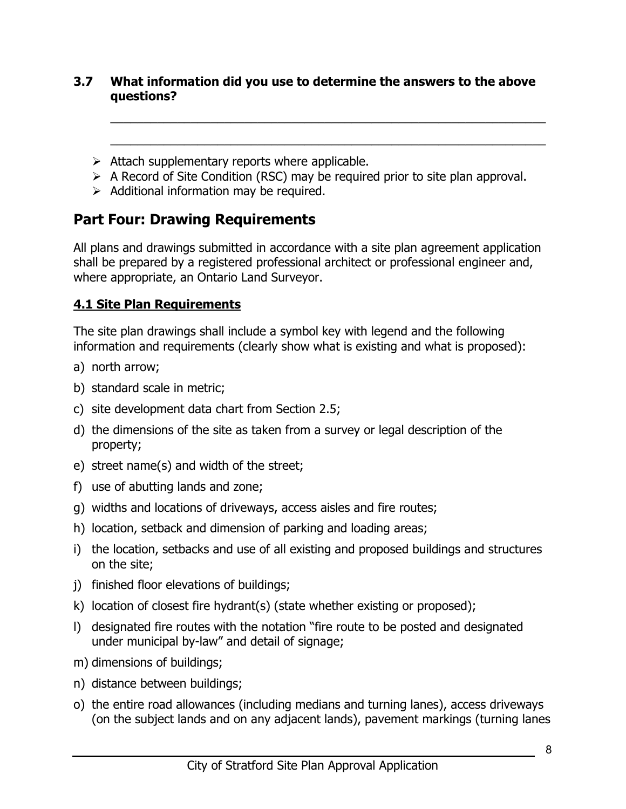### **3.7 What information did you use to determine the answers to the above questions?**

\_\_\_\_\_\_\_\_\_\_\_\_\_\_\_\_\_\_\_\_\_\_\_\_\_\_\_\_\_\_\_\_\_\_\_\_\_\_\_\_\_\_\_\_\_\_\_\_\_\_\_\_\_\_\_\_\_\_\_\_\_\_\_\_\_

\_\_\_\_\_\_\_\_\_\_\_\_\_\_\_\_\_\_\_\_\_\_\_\_\_\_\_\_\_\_\_\_\_\_\_\_\_\_\_\_\_\_\_\_\_\_\_\_\_\_\_\_\_\_\_\_\_\_\_\_\_\_\_\_\_

- $\triangleright$  Attach supplementary reports where applicable.
- $\triangleright$  A Record of Site Condition (RSC) may be required prior to site plan approval.
- $\triangleright$  Additional information may be required.

## **Part Four: Drawing Requirements**

All plans and drawings submitted in accordance with a site plan agreement application shall be prepared by a registered professional architect or professional engineer and, where appropriate, an Ontario Land Surveyor.

## **4.1 Site Plan Requirements**

The site plan drawings shall include a symbol key with legend and the following information and requirements (clearly show what is existing and what is proposed):

- a) north arrow;
- b) standard scale in metric;
- c) site development data chart from Section 2.5;
- d) the dimensions of the site as taken from a survey or legal description of the property;
- e) street name(s) and width of the street;
- f) use of abutting lands and zone;
- g) widths and locations of driveways, access aisles and fire routes;
- h) location, setback and dimension of parking and loading areas;
- i) the location, setbacks and use of all existing and proposed buildings and structures on the site;
- j) finished floor elevations of buildings;
- k) location of closest fire hydrant(s) (state whether existing or proposed);
- l) designated fire routes with the notation "fire route to be posted and designated under municipal by-law" and detail of signage;
- m) dimensions of buildings;
- n) distance between buildings;
- o) the entire road allowances (including medians and turning lanes), access driveways (on the subject lands and on any adjacent lands), pavement markings (turning lanes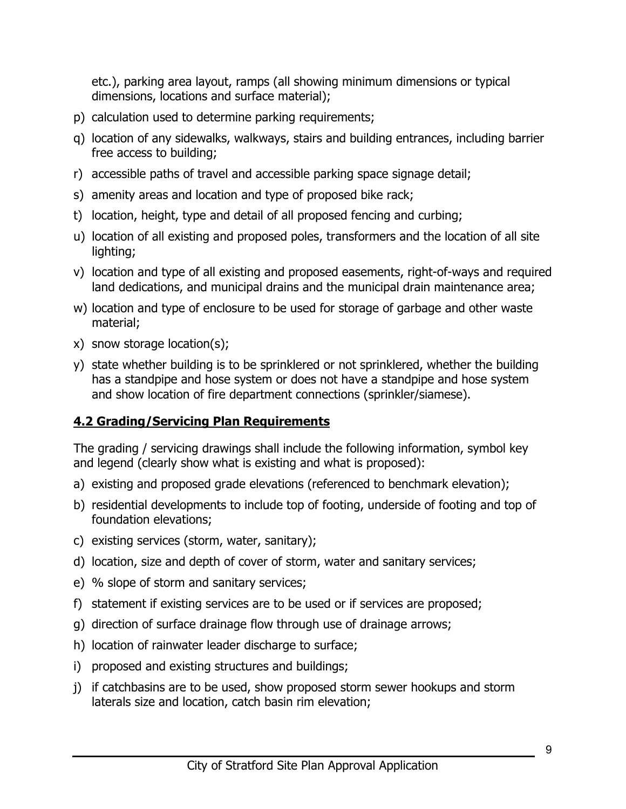etc.), parking area layout, ramps (all showing minimum dimensions or typical dimensions, locations and surface material);

- p) calculation used to determine parking requirements;
- q) location of any sidewalks, walkways, stairs and building entrances, including barrier free access to building;
- r) accessible paths of travel and accessible parking space signage detail;
- s) amenity areas and location and type of proposed bike rack;
- t) location, height, type and detail of all proposed fencing and curbing;
- u) location of all existing and proposed poles, transformers and the location of all site lighting;
- v) location and type of all existing and proposed easements, right-of-ways and required land dedications, and municipal drains and the municipal drain maintenance area;
- w) location and type of enclosure to be used for storage of garbage and other waste material;
- x) snow storage location(s);
- y) state whether building is to be sprinklered or not sprinklered, whether the building has a standpipe and hose system or does not have a standpipe and hose system and show location of fire department connections (sprinkler/siamese).

## **4.2 Grading/Servicing Plan Requirements**

The grading / servicing drawings shall include the following information, symbol key and legend (clearly show what is existing and what is proposed):

- a) existing and proposed grade elevations (referenced to benchmark elevation);
- b) residential developments to include top of footing, underside of footing and top of foundation elevations;
- c) existing services (storm, water, sanitary);
- d) location, size and depth of cover of storm, water and sanitary services;
- e) % slope of storm and sanitary services;
- f) statement if existing services are to be used or if services are proposed;
- g) direction of surface drainage flow through use of drainage arrows;
- h) location of rainwater leader discharge to surface;
- i) proposed and existing structures and buildings;
- j) if catchbasins are to be used, show proposed storm sewer hookups and storm laterals size and location, catch basin rim elevation;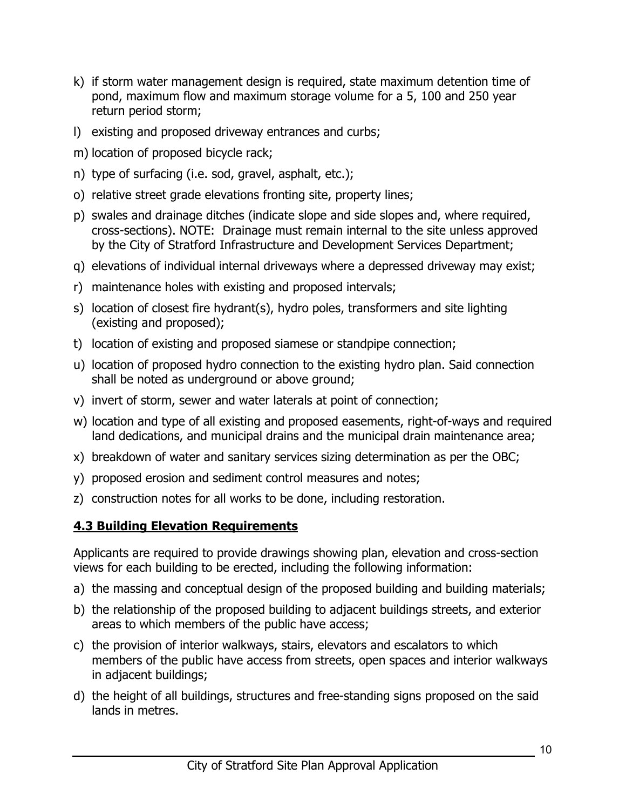- k) if storm water management design is required, state maximum detention time of pond, maximum flow and maximum storage volume for a 5, 100 and 250 year return period storm;
- l) existing and proposed driveway entrances and curbs;
- m) location of proposed bicycle rack;
- n) type of surfacing (i.e. sod, gravel, asphalt, etc.);
- o) relative street grade elevations fronting site, property lines;
- p) swales and drainage ditches (indicate slope and side slopes and, where required, cross-sections). NOTE: Drainage must remain internal to the site unless approved by the City of Stratford Infrastructure and Development Services Department;
- q) elevations of individual internal driveways where a depressed driveway may exist;
- r) maintenance holes with existing and proposed intervals;
- s) location of closest fire hydrant(s), hydro poles, transformers and site lighting (existing and proposed);
- t) location of existing and proposed siamese or standpipe connection;
- u) location of proposed hydro connection to the existing hydro plan. Said connection shall be noted as underground or above ground;
- v) invert of storm, sewer and water laterals at point of connection;
- w) location and type of all existing and proposed easements, right-of-ways and required land dedications, and municipal drains and the municipal drain maintenance area;
- x) breakdown of water and sanitary services sizing determination as per the OBC;
- y) proposed erosion and sediment control measures and notes;
- z) construction notes for all works to be done, including restoration.

## **4.3 Building Elevation Requirements**

Applicants are required to provide drawings showing plan, elevation and cross-section views for each building to be erected, including the following information:

- a) the massing and conceptual design of the proposed building and building materials;
- b) the relationship of the proposed building to adjacent buildings streets, and exterior areas to which members of the public have access;
- c) the provision of interior walkways, stairs, elevators and escalators to which members of the public have access from streets, open spaces and interior walkways in adjacent buildings;
- d) the height of all buildings, structures and free-standing signs proposed on the said lands in metres.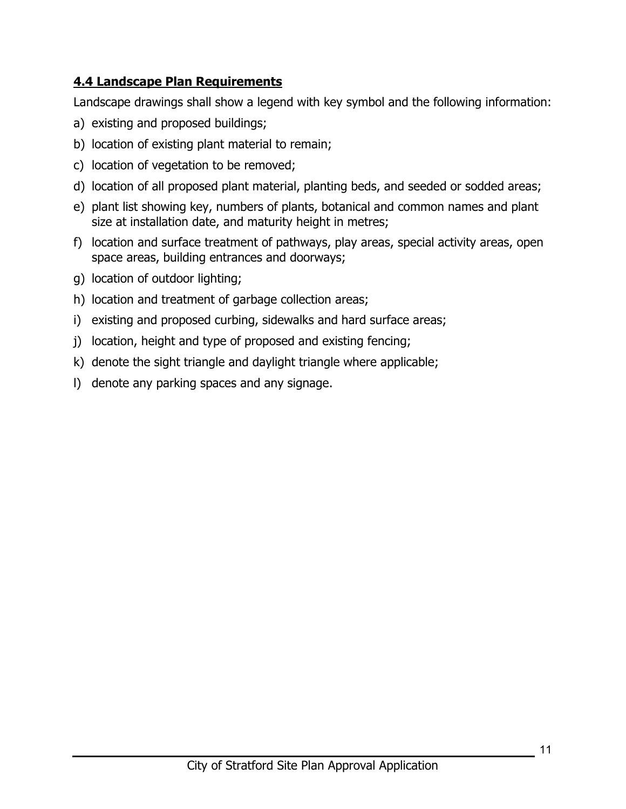## **4.4 Landscape Plan Requirements**

Landscape drawings shall show a legend with key symbol and the following information:

- a) existing and proposed buildings;
- b) location of existing plant material to remain;
- c) location of vegetation to be removed;
- d) location of all proposed plant material, planting beds, and seeded or sodded areas;
- e) plant list showing key, numbers of plants, botanical and common names and plant size at installation date, and maturity height in metres;
- f) location and surface treatment of pathways, play areas, special activity areas, open space areas, building entrances and doorways;
- g) location of outdoor lighting;
- h) location and treatment of garbage collection areas;
- i) existing and proposed curbing, sidewalks and hard surface areas;
- j) location, height and type of proposed and existing fencing;
- k) denote the sight triangle and daylight triangle where applicable;
- l) denote any parking spaces and any signage.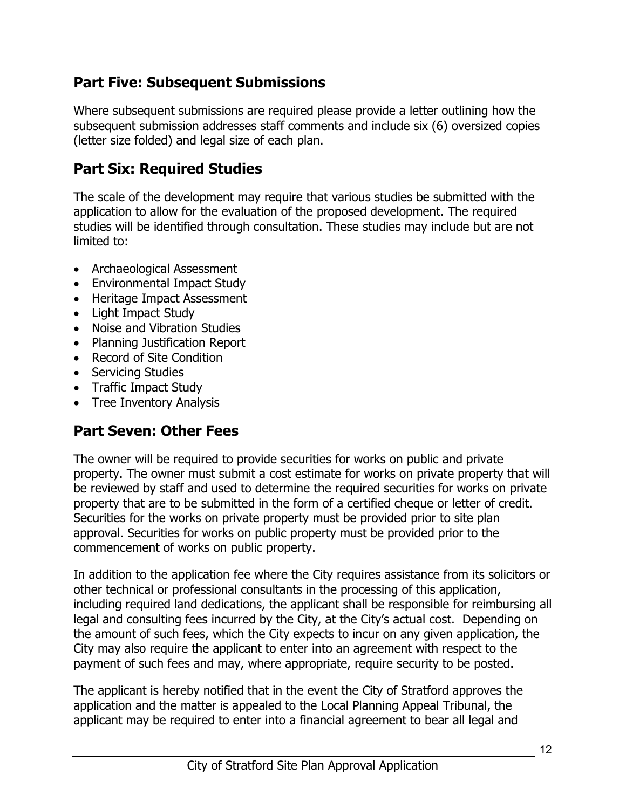# **Part Five: Subsequent Submissions**

Where subsequent submissions are required please provide a letter outlining how the subsequent submission addresses staff comments and include six (6) oversized copies (letter size folded) and legal size of each plan.

# **Part Six: Required Studies**

The scale of the development may require that various studies be submitted with the application to allow for the evaluation of the proposed development. The required studies will be identified through consultation. These studies may include but are not limited to:

- Archaeological Assessment
- Environmental Impact Study
- Heritage Impact Assessment
- Light Impact Study
- Noise and Vibration Studies
- Planning Justification Report
- Record of Site Condition
- Servicing Studies
- Traffic Impact Study
- Tree Inventory Analysis

# **Part Seven: Other Fees**

The owner will be required to provide securities for works on public and private property. The owner must submit a cost estimate for works on private property that will be reviewed by staff and used to determine the required securities for works on private property that are to be submitted in the form of a certified cheque or letter of credit. Securities for the works on private property must be provided prior to site plan approval. Securities for works on public property must be provided prior to the commencement of works on public property.

In addition to the application fee where the City requires assistance from its solicitors or other technical or professional consultants in the processing of this application, including required land dedications, the applicant shall be responsible for reimbursing all legal and consulting fees incurred by the City, at the City's actual cost. Depending on the amount of such fees, which the City expects to incur on any given application, the City may also require the applicant to enter into an agreement with respect to the payment of such fees and may, where appropriate, require security to be posted.

The applicant is hereby notified that in the event the City of Stratford approves the application and the matter is appealed to the Local Planning Appeal Tribunal, the applicant may be required to enter into a financial agreement to bear all legal and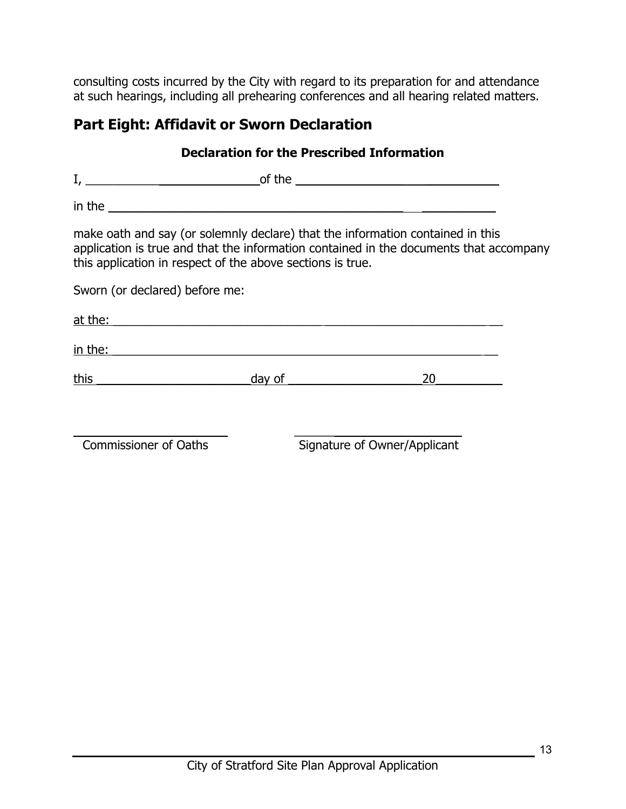consulting costs incurred by the City with regard to its preparation for and attendance at such hearings, including all prehearing conferences and all hearing related matters.

# **Part Eight: Affidavit or Sworn Declaration**

| <b>Declaration for the Prescribed Information</b> |                                                                                                                                                                                                                                    |                                                                                        |  |
|---------------------------------------------------|------------------------------------------------------------------------------------------------------------------------------------------------------------------------------------------------------------------------------------|----------------------------------------------------------------------------------------|--|
|                                                   |                                                                                                                                                                                                                                    |                                                                                        |  |
|                                                   |                                                                                                                                                                                                                                    |                                                                                        |  |
|                                                   | make oath and say (or solemnly declare) that the information contained in this<br>this application in respect of the above sections is true.                                                                                       | application is true and that the information contained in the documents that accompany |  |
| Sworn (or declared) before me:                    |                                                                                                                                                                                                                                    |                                                                                        |  |
|                                                   |                                                                                                                                                                                                                                    |                                                                                        |  |
|                                                   | <u>in the:</u> the contract of the contract of the contract of the contract of the contract of the contract of the contract of the contract of the contract of the contract of the contract of the contract of the contract of the |                                                                                        |  |
| <u>this ___________________________</u>           | day of the contract of the contract of the contract of the contract of the contract of the contract of the contract of the contract of the contract of the contract of the contract of the contract of the contract of the con     | 20                                                                                     |  |
| <b>Commissioner of Oaths</b>                      |                                                                                                                                                                                                                                    | Signature of Owner/Applicant                                                           |  |